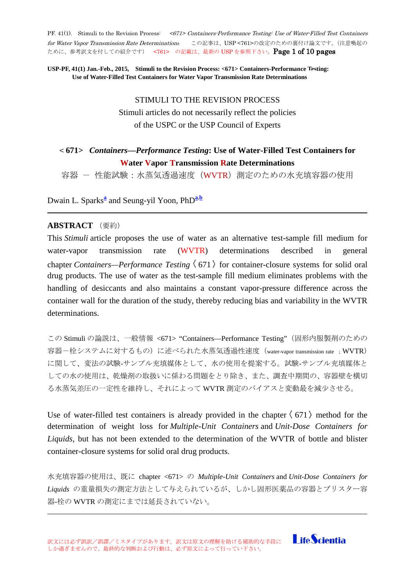PF. 41(1). Stimuli to the Revision Process: <671> Containers-Performance Testing: Use of Water-Filled Test Containers for Water Vapor Transmission Rate Determinations この記事は、USP <761>の改定のための裏付け論文です。(注意喚起の ために、参考訳文を付しての紹介です) <761> の記載は、最新の USP を参照下さい。Page 1 of 10 pages

**USP-PF, 41(1) Jan.-Feb., 2015, Stimuli to the Revision Process: <671> Containers-Performance Testing: Use of Water-Filled Test Containers for Water Vapor Transmission Rate Determinations**

# STIMULI TO THE REVISION PROCESS Stimuli articles do not necessarily reflect the policies of the USPC or the USP Council of Experts

# < **671>** *Containers—Performance Testing***: Use of Water-Filled Test Containers for Water Vapor Transmission Rate Determinations**

容器 - 性能試験:水蒸気透過速度 (WVTR) 測定のための水充填容器の使用

Dw[a](http://www.usppf.com/pf/pub/data/v411/GEN_STIMULI_411_s201264.html%23GEN_STIMULI_411_s201264-fna)in L. Sparks<sup>a</sup> and Seung-yil Yoon, PhD<sup>a,[b](http://www.usppf.com/pf/pub/data/v411/GEN_STIMULI_411_s201264.html%23GEN_STIMULI_411_s201264-fnb)</sup>

### **ABSTRACT** (要約)

This *Stimuli* article proposes the use of water as an alternative test-sample fill medium for water-vapor transmission rate (WVTR) determinations described in general chapter *Containers—Performance Testing*  $(671)$  for container-closure systems for solid oral drug products. The use of water as the test-sample fill medium eliminates problems with the handling of desiccants and also maintains a constant vapor-pressure difference across the container wall for the duration of the study, thereby reducing bias and variability in the WVTR determinations.

この Stimuli の論説は、一般情報 <671> "Containers—Performance Testing"(固形内服製剤のための 容器ー栓システムに対するもの)に述べられた水蒸気透過性速度 (water-vapor transmission rate ; WVTR) に関して、変法の試験-サンプル充填媒体として、水の使用を提案する。試験-サンプル充填媒体と しての水の使用は、乾燥剤の取扱いに係わる問題をとり除き、また、調査中期間の、容器壁を横切 る水蒸気差圧の一定性を維持し、それによって WVTR 測定のバイアスと変動最を減少させる。

Use of water-filled test containers is already provided in the chapter  $(671)$  method for the determination of weight loss for *Multiple-Unit Containers* and *Unit-Dose Containers for Liquids*, but has not been extended to the determination of the WVTR of bottle and blister container-closure systems for solid oral drug products.

水充填容器の使用は、既に chapter <671> の *Multiple-Unit Containers* and *Unit-Dose Containers for Liquids* の重量損失の測定方法として与えられているが、しかし固形医薬品の容器とブリスター容 器-栓の WVTR の測定にまでは延長されていない。

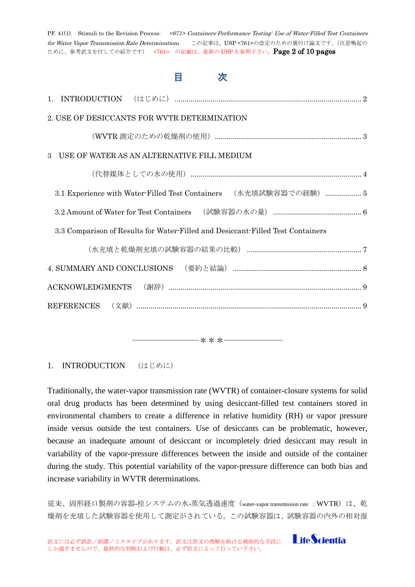| PF. 41(1). Stimuli to the Revision Process: <671> Containers Performance Testing: Use of Water-Filled Test Containers<br>for Water Vapor Transmission Rate Determinations この記事は、USP<761>の改定のための裏付け論文です。(注意喚起の<br>ために、参考訳文を付しての紹介です) <761> の記載は、最新の USP を参照下さい。Page 2 of 10 pages |
|----------------------------------------------------------------------------------------------------------------------------------------------------------------------------------------------------------------------------------------------------------------------------------|
| 目<br>次                                                                                                                                                                                                                                                                           |
| $1_{-}$                                                                                                                                                                                                                                                                          |
| 2. USE OF DESICCANTS FOR WVTR DETERMINATION                                                                                                                                                                                                                                      |
|                                                                                                                                                                                                                                                                                  |
| USE OF WATER AS AN ALTERNATIVE FILL MEDIUM<br>3                                                                                                                                                                                                                                  |
|                                                                                                                                                                                                                                                                                  |
| 3.1 Experience with Water-Filled Test Containers (水充填試験容器での経験)  5                                                                                                                                                                                                                |
|                                                                                                                                                                                                                                                                                  |
| 3.3 Comparison of Results for Water-Filled and Desiccant-Filled Test Containers                                                                                                                                                                                                  |
|                                                                                                                                                                                                                                                                                  |
|                                                                                                                                                                                                                                                                                  |
|                                                                                                                                                                                                                                                                                  |
| REFERENCES                                                                                                                                                                                                                                                                       |
|                                                                                                                                                                                                                                                                                  |

――――――――\*\*\*―――――――

<span id="page-1-0"></span>1. INTRODUCTION (はじめに)

Traditionally, the water-vapor transmission rate (WVTR) of container-closure systems for solid oral drug products has been determined by using desiccant-filled test containers stored in environmental chambers to create a difference in relative humidity (RH) or vapor pressure inside versus outside the test containers. Use of desiccants can be problematic, however, because an inadequate amount of desiccant or incompletely dried desiccant may result in variability of the vapor-pressure differences between the inside and outside of the container during the study. This potential variability of the vapor-pressure difference can both bias and increase variability in WVTR determinations.

従来、固形経口製剤の容器-栓システムの水-蒸気透過速度(water-vapor transmission rate ; WVTR)は、乾 燥剤を充填した試験容器を使用して測定がされている。この試験容器は、試験容器の内外の相対湿

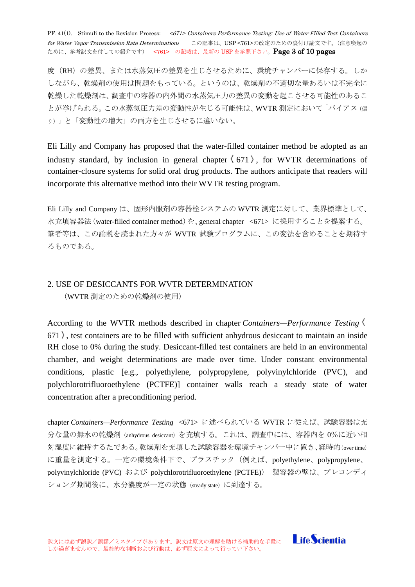PF. 41(1). Stimuli to the Revision Process: <671> Containers-Performance Testing: Use of Water-Filled Test Containers for Water Vapor Transmission Rate Determinations この記事は、USP <761>の改定のための裏付け論文です。(注意喚起の ために、参考訳文を付しての紹介です) <761> の記載は、最新の USP を参照下さい。Page 3 of 10 pages

度(RH)の差異、または水蒸気圧の差異を生じさせるために、環境チャンバーに保存する。しか しながら、乾燥剤の使用は問題をもっている。というのは、乾燥剤の不適切な量あるいは不完全に 乾燥した乾燥剤は、調査中の容器の内外間の水蒸気圧力の差異の変動を起こさせる可能性のあるこ とが挙げられる。この水蒸気圧力差の変動性が生じる可能性は、WVTR 測定において「バイアス(偏 り)」と「変動性の増大」の両方を生じさせるに違いない。

Eli Lilly and Company has proposed that the water-filled container method be adopted as an industry standard, by inclusion in general chapter  $(671)$ , for WVTR determinations of container-closure systems for solid oral drug products. The authors anticipate that readers will incorporate this alternative method into their WVTR testing program.

Eli Lilly and Company は、固形内服剤の容器栓システムの WVTR 測定に対して、業界標準として、 水充填容器法(water-filled container method)を、general chapter <671> に採用することを提案する。 筆者等は、この論説を読まれた方々が WVTR 試験プログラムに、この変法を含めることを期待す るものである。

# <span id="page-2-0"></span>2. USE OF DESICCANTS FOR WVTR DETERMINATION (WVTR 測定のための乾燥剤の使用)

According to the WVTR methods described in chapter *Containers—Performance Testing*  $671$ ), test containers are to be filled with sufficient anhydrous desiccant to maintain an inside RH close to 0% during the study. Desiccant-filled test containers are held in an environmental chamber, and weight determinations are made over time. Under constant environmental conditions, plastic [e.g., polyethylene, polypropylene, polyvinylchloride (PVC), and polychlorotrifluoroethylene (PCTFE)] container walls reach a steady state of water concentration after a preconditioning period.

chapter *Containers—Performance Testing* <671> に述べられている WVTR に従えば、試験容器は充 分な量の無水の乾燥剤(anhydrous desiccant)を充填する。これは、調査中には、容器内を 0%に近い相 対湿度に維持するたである。乾燥剤を充填した試験容器を環境チャンバー中に置き、経時的(over time) に重量を測定する。一定の環境条件下で、プラスチック(例えば、polyethylene、polypropylene、 polyvinylchloride (PVC) および polychlorotrifluoroethylene (PCTFE)) 製容器の壁は、プレコンディ ショング期間後に、水分濃度が一定の状態(steady state)に到達する。

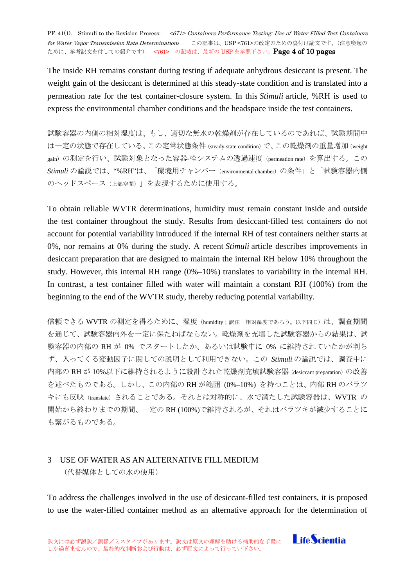PF. 41(1). Stimuli to the Revision Process: <671> Containers-Performance Testing: Use of Water-Filled Test Containers for Water Vapor Transmission Rate Determinations この記事は、USP <761>の改定のための裏付け論文です。(注意喚起の ために、参考訳文を付しての紹介です) <761> の記載は、最新の USP を参照下さい。Page 4 of 10 pages

The inside RH remains constant during testing if adequate anhydrous desiccant is present. The weight gain of the desiccant is determined at this steady-state condition and is translated into a permeation rate for the test container-closure system. In this *Stimuli* article, %RH is used to express the environmental chamber conditions and the headspace inside the test containers.

試験容器の内側の相対湿度は、もし、適切な無水の乾燥剤が存在しているのであれば、試験期間中 は一定の状態で存在している。この定常状態条件 (steady-state condition) で、この乾燥剤の重量増加 (weight gain)の測定を行い、試験対象となった容器-栓システムの透過速度(permeation rate)を算出する。この *Stimuli* の論説では、"%RH"は、「環境用チャンバー(environmental chamber)の条件」と「試験容器内側 のヘッドスペース(上部空間)」を表現するために使用する。

To obtain reliable WVTR determinations, humidity must remain constant inside and outside the test container throughout the study. Results from desiccant-filled test containers do not account for potential variability introduced if the internal RH of test containers neither starts at 0%, nor remains at 0% during the study. A recent *Stimuli* article describes improvements in desiccant preparation that are designed to maintain the internal RH below 10% throughout the study. However, this internal RH range (0%–10%) translates to variability in the internal RH. In contrast, a test container filled with water will maintain a constant RH (100%) from the beginning to the end of the WVTR study, thereby reducing potential variability.

信頼できる WVTR の測定を得るために、湿度(humidity;訳注 相対湿度であろう。以下同じ)は、調査期間 を通じて、試験容器内外を一定に保たねばならない。乾燥剤を充填した試験容器からの結果は、試 験容器の内部の RH が 0% でスタートしたか、あるいは試験中に 0% に維持されていたかが判ら ず、入ってくる変動因子に関しての説明として利用できない。この *Stimuli* の論説では、調査中に 内部の RH が 10%以下に維持されるように設計された乾燥剤充填試験容器(desiccant preparation)の改善 を述べたものである。しかし、この内部の RH が範囲 (0%–10%) を持つことは、内部 RH のバラツ キにも反映(translate)されることである。それとは対称的に、水で満たした試験容器は、WVTR の 開始から終わりまでの期間、一定の RH (100%)で維持されるが、それはバラツキが減少することに も繋がるものである。

### <span id="page-3-0"></span>3 USE OF WATER AS AN ALTERNATIVE FILL MEDIUM

(代替媒体としての水の使用)

To address the challenges involved in the use of desiccant-filled test containers, it is proposed to use the water-filled container method as an alternative approach for the determination of

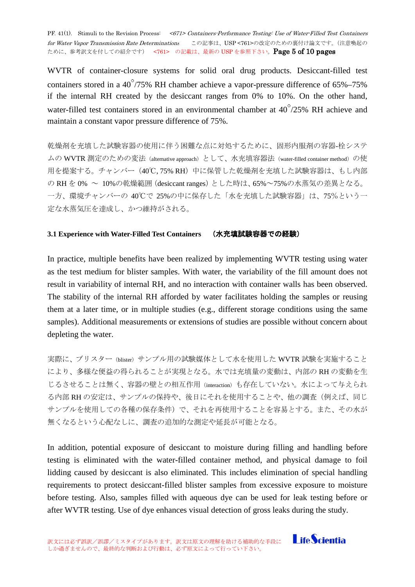PF. 41(1). Stimuli to the Revision Process: <671> Containers-Performance Testing: Use of Water-Filled Test Containers for Water Vapor Transmission Rate Determinations この記事は、USP <761>の改定のための裏付け論文です。(注意喚起の ために、参考訳文を付しての紹介です) <761> の記載は、最新の USP を参照下さい。Page 5 of 10 pages

WVTR of container-closure systems for solid oral drug products. Desiccant-filled test containers stored in a  $40^{\degree}/75\%$  RH chamber achieve a vapor-pressure difference of 65%–75% if the internal RH created by the desiccant ranges from 0% to 10%. On the other hand, water-filled test containers stored in an environmental chamber at  $40^{\circ}/25\%$  RH achieve and maintain a constant vapor pressure difference of 75%.

乾燥剤を充填した試験容器の使用に伴う困難な点に対処するために、固形内服剤の容器-栓システ ムの WVTR 測定のための変法 (alternative approach) として、水充填容器法 (water-filled container method) の使 用を提案する。チャンバー (40℃, 75% RH) 中に保管した乾燥剤を充填した試験容器は、もし内部 の RH を 0% ~ 10%の乾燥範囲(desiccant ranges)とした時は、65%~75%の水蒸気の差異となる。 一方、環境チャンバーの 40℃で 25%の中に保存した「水を充填した試験容器」は、75%という一 定な水蒸気圧を達成し、かつ維持がされる。

#### <span id="page-4-0"></span>**3.1 Experience with Water-Filled Test Containers** (水充填試験容器での経験)

In practice, multiple benefits have been realized by implementing WVTR testing using water as the test medium for blister samples. With water, the variability of the fill amount does not result in variability of internal RH, and no interaction with container walls has been observed. The stability of the internal RH afforded by water facilitates holding the samples or reusing them at a later time, or in multiple studies (e.g., different storage conditions using the same samples). Additional measurements or extensions of studies are possible without concern about depleting the water.

実際に、ブリスター(blister)サンプル用の試験媒体として水を使用した WVTR 試験を実施すること により、多様な便益の得られることが実現となる。水では充填量の変動は、内部の RH の変動を生 じるさせることは無く、容器の壁との相互作用(interaction)も存在していない。水によって与えられ る内部 RH の安定は、サンプルの保持や、後日にそれを使用することや、他の調査(例えば、同じ サンプルを使用しての各種の保存条件)で、それを再使用することを容易とする。また、その水が 無くなるという心配なしに、調査の追加的な測定や延長が可能となる。

In addition, potential exposure of desiccant to moisture during filling and handling before testing is eliminated with the water-filled container method, and physical damage to foil lidding caused by desiccant is also eliminated. This includes elimination of special handling requirements to protect desiccant-filled blister samples from excessive exposure to moisture before testing. Also, samples filled with aqueous dye can be used for leak testing before or after WVTR testing. Use of dye enhances visual detection of gross leaks during the study.

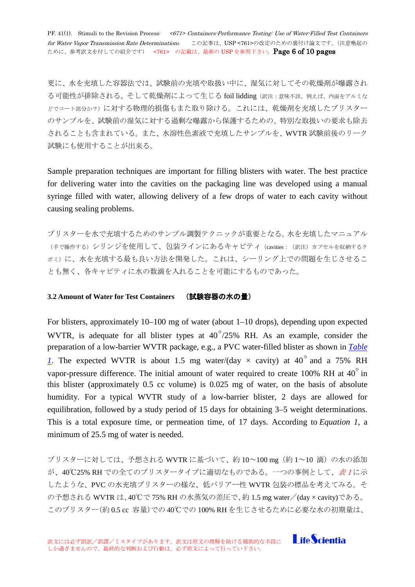PF. 41(1). Stimuli to the Revision Process: <671> Containers-Performance Testing: Use of Water-Filled Test Containers for Water Vapor Transmission Rate Determinations この記事は、USP <761>の改定のための裏付け論文です。(注意喚起の ために、参考訳文を付しての紹介です) <761> の記載は、最新の USP を参照下さい。Page 6 of 10 pages

更に、水を充填した容器法では、試験前の充填や取扱い中に、湿気に対してその乾燥剤が曝露され る可能性が排除される。そして乾燥剤によって生じる foil lidding(訳注:意味不詳。例えば、内面をアルミな どでコート部分か?)に対する物理的損傷もまた取り除ける。これには、乾燥剤を充填したブリスター のサンプルを、試験前の湿気に対する過剰な曝露から保護するための、特別な取扱いの要求も除去 されることも含まれている。また、水溶性色素液で充填したサンプルを、WVTR 試験前後のリーク 試験にも使用することが出来る。

Sample preparation techniques are important for filling blisters with water. The best practice for delivering water into the cavities on the packaging line was developed using a manual syringe filled with water, allowing delivery of a few drops of water to each cavity without causing sealing problems.

ブリスターを水で充填するためのサンプル調製テクニックが重要となる。水を充填したマニュアル (手で操作する)シリンジを使用して、包装ラインにあるキャビティ(cavities:(訳注)カプセルを収納するク ボミ)に、水を充填する最も良い方法を開発した。これは、シーリング上での問題を生じさせるこ とも無く、各キャビティに水の数滴を入れることを可能にするものであった。

#### <span id="page-5-0"></span>**3.2 Amount of Water for Test Containers** (試験容器の水の量)

For blisters, approximately 10–100 mg of water (about 1–10 drops), depending upon expected WVTR, is adequate for all blister types at  $40^{\circ}/25\%$  RH. As an example, consider the preparation of a low-barrier WVTR package, e.g., a PVC water-filled blister as shown in *[Table](http://www.usppf.com/pf/pub/data/v411/GEN_STIMULI_411_s201264.html%23GEN_STIMULI_411_s201264-tb1)  [1](http://www.usppf.com/pf/pub/data/v411/GEN_STIMULI_411_s201264.html%23GEN_STIMULI_411_s201264-tb1)*. The expected WVTR is about 1.5 mg water/(day  $\times$  cavity) at 40<sup>°</sup> and a 75% RH vapor-pressure difference. The initial amount of water required to create 100% RH at  $40^{\circ}$  in this blister (approximately 0.5 cc volume) is 0.025 mg of water, on the basis of absolute humidity. For a typical WVTR study of a low-barrier blister, 2 days are allowed for equilibration, followed by a study period of 15 days for obtaining 3–5 weight determinations. This is a total exposure time, or permeation time, of 17 days. According to *Equation 1*, a minimum of 25.5 mg of water is needed.

ブリスターに対しては、予想される WVTR に基づいて、約 10~100 mg(約 1~10 滴)の水の添加 が、40℃25% RH での全てのブリスタータイプに適切なものである。一つの事例として、表1に示 したような、PVC の水充填ブリスターの様な、低バリアー性 WVTR 包装の標品を考えてみる。そ の予想される WVTR は、40℃で 75% RH の水蒸気の差圧で、約 1.5 mg water/(day × cavity)である。 このブリスター(約 0.5 cc 容量)での 40℃での 100% RH を生じさせるために必要な水の初期量は、

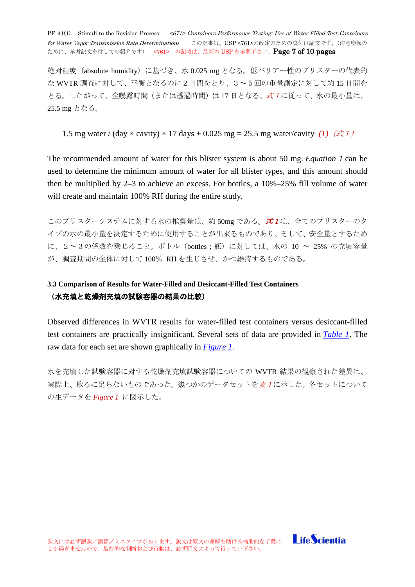PF. 41(1). Stimuli to the Revision Process: <671> Containers-Performance Testing: Use of Water-Filled Test Containers for Water Vapor Transmission Rate Determinations この記事は、USP <761>の改定のための裏付け論文です。(注意喚起の ために、参考訳文を付しての紹介です) <761> の記載は、最新の USP を参照下さい。Page 7 of 10 pages

絶対湿度(absolute humidity)に基づき、水 0.025 mg となる。低バリアー性のブリスターの代表的 な WVTR 調査に対して、平衡となるのに2日間をとり、3~5回の重量測定に対して約 15 日間を とる。したがって、全曝露時間(または透過時間)は 17日となる。式1に従って、水の最小量は、 25.5 mg となる。

1.5 mg water / (day  $\times$  cavity)  $\times$  17 days + 0.025 mg = 25.5 mg water/cavity *(1)* ( $\pm$  1)

The recommended amount of water for this blister system is about 50 mg. *Equation 1* can be used to determine the minimum amount of water for all blister types, and this amount should then be multiplied by 2–3 to achieve an excess. For bottles, a 10%–25% fill volume of water will create and maintain 100% RH during the entire study.

このブリスターシステムに対する水の推奨量は、約 50mg である。*式1*は、全てのブリスターのタ イプの水の最小量を決定するために使用することが出来るものであり、そして、安全量とするため に、2~3の係数を乗じること。ボトル(bottles;瓶)に対しては、水の 10 ~ 25% の充填容量 が、調査期間の全体に対して 100% RH を生じさせ、かつ維持するものである。

# <span id="page-6-0"></span>**3.3 Comparison of Results for Water-Filled and Desiccant-Filled Test Containers** (水充填と乾燥剤充填の試験容器の結果の比較)

Observed differences in WVTR results for water-filled test containers versus desiccant-filled test containers are practically insignificant. Several sets of data are provided in *[Table 1](http://www.usppf.com/pf/pub/data/v411/GEN_STIMULI_411_s201264.html%23GEN_STIMULI_411_s201264-tb1)*. The raw data for each set are shown graphically in *[Figure 1](http://www.usppf.com/pf/pub/data/v411/GEN_STIMULI_411_s201264.html%23GEN_STIMULI_411_s201264-fig1)*.

水を充填した試験容器に対する乾燥剤充填試験容器についての WVTR 結果の観察された差異は、 実際上、取るに足らないものであった。幾つかのデータセットを表1に示した。各セットについて の生データを *Figure 1* に図示した。

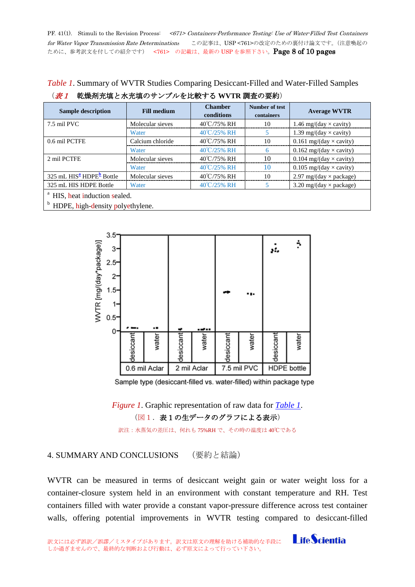PF. 41(1). Stimuli to the Revision Process: <671> Containers-Performance Testing: Use of Water-Filled Test Containers for Water Vapor Transmission Rate Determinations この記事は、USP <761>の改定のための裏付け論文です。(注意喚起の ために、参考訳文を付しての紹介です) <761> の記載は、最新の USP を参照下さい。Page 8 of 10 pages

*Table 1*. Summary of WVTR Studies Comparing Desiccant-Filled and Water-Filled Samples

| <b>Sample description</b>                                                    | <b>Fill medium</b> | <b>Chamber</b><br>conditions | Number of test<br>containers | <b>Average WVTR</b>                                  |
|------------------------------------------------------------------------------|--------------------|------------------------------|------------------------------|------------------------------------------------------|
| 7.5 mil PVC                                                                  | Molecular sieves   | 40°C/75% RH                  | 10                           | 1.46 mg/(day $\times$ cavity)                        |
|                                                                              | Water              | 40°C/25% RH                  |                              | 1.39 mg/(day $\times$ cavity)                        |
| 0.6 mil PCTFE                                                                | Calcium chloride   | 40°C/75% RH                  | 10                           | 0.161 mg/(day $\times$ cavity)                       |
|                                                                              | Water              | 40°C/25% RH                  | 6                            | 0.162 mg/(day $\times$ cavity)                       |
| 2 mil PCTFE                                                                  | Molecular sieves   | 40°C/75% RH                  | 10                           | 0.104 mg/(day $\times$ cavity)                       |
|                                                                              | Water              | 40°C/25% RH                  | 10                           | 0.105 mg/(day $\times$ cavity)                       |
| 325 mL HIS <sup>a</sup> HDPE <sup>b</sup> Bottle                             | Molecular sieves   | 40°C/75% RH                  | 10                           | $2.97 \text{ mg}/(\text{day} \times \text{package})$ |
| 325 mL HIS HDPE Bottle                                                       | Water              | 40°C/25% RH                  |                              | $3.20 \text{ mg}/(\text{day} \times \text{package})$ |
| <sup>a</sup> HIS, heat induction sealed.<br>HDPE, high-density polyethylene. |                    |                              |                              |                                                      |

| ( <i>表1</i> 乾燥剤充填と水充填のサンプルを比較する WVTR 調査の要約) |
|---------------------------------------------|
|                                             |

 $3.5$ ٩ /WTR [mg/(day\*package)] 3 sf.  $2.5$  $2^{\circ}$  $1.5$  $1$  $0.5$ 0 water desiccant water desiccant water water esiccan desiccan 7.5 mil PVC 0.6 mil Aclar 2 mil Aclar **HDPE** bottle

Sample type (desiccant-filled vs. water-filled) within package type

*Figure 1*. Graphic representation of raw data for *[Table 1](http://www.usppf.com/pf/pub/data/v411/GEN_STIMULI_411_s201264.html%23GEN_STIMULI_411_s201264-tb1)*. (図1.表1の生データのグラフによる表示)

訳注:水蒸気の差圧は、何れも 75%RH で、その時の温度は 40℃である

## <span id="page-7-0"></span>4. SUMMARY AND CONCLUSIONS (要約と結論)

WVTR can be measured in terms of desiccant weight gain or water weight loss for a container-closure system held in an environment with constant temperature and RH. Test containers filled with water provide a constant vapor-pressure difference across test container walls, offering potential improvements in WVTR testing compared to desiccant-filled

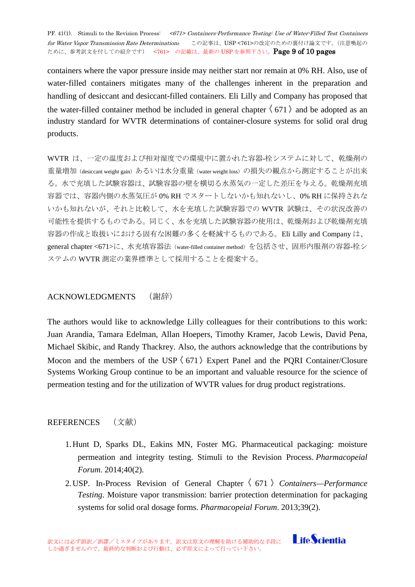PF. 41(1). Stimuli to the Revision Process: <671> Containers-Performance Testing: Use of Water-Filled Test Containers for Water Vapor Transmission Rate Determinations この記事は、USP <761>の改定のための裏付け論文です。(注意喚起の ために、参考訳文を付しての紹介です) <761> の記載は、最新の USP を参照下さい。Page 9 of 10 pages

containers where the vapor pressure inside may neither start nor remain at 0% RH. Also, use of water-filled containers mitigates many of the challenges inherent in the preparation and handling of desiccant and desiccant-filled containers. Eli Lilly and Company has proposed that the water-filled container method be included in general chapter  $\langle 671 \rangle$  and be adopted as an industry standard for WVTR determinations of container-closure systems for solid oral drug products.

WVTR は、一定の温度および相対湿度での環境中に置かれた容器-栓システムに対して、乾燥剤の 重量増加 (desiccant weight gain) あるいは水分重量 (water weight loss) の損失の観点から測定することが出来 る。水で充填した試験容器は、試験容器の壁を横切る水蒸気の一定した差圧を与える。乾燥剤充填 容器では、容器内側の水蒸気圧が 0% RH でスタートしないかも知れないし、0% RH に保持されな いかも知れないが、それと比較して、水を充填した試験容器での WVTR 試験は、その状況改善の 可能性を提供するものである。同じく、水を充填した試験容器の使用は、乾燥剤および乾燥剤充填 容器の作成と取扱いにおける固有な困難の多くを軽減するものである。Eli Lilly and Company は、 general chapter <671>に、水充填容器法(water-filled container method)を包括させ、固形内服剤の容器-栓シ ステムの WVTR 測定の業界標準として採用することを提案する。

### <span id="page-8-0"></span>ACKNOWLEDGMENTS (謝辞)

The authors would like to acknowledge Lilly colleagues for their contributions to this work: Juan Arandia, Tamara Edelman, Allan Hoepers, Timothy Kramer, Jacob Lewis, David Pena, Michael Skibic, and Randy Thackrey. Also, the authors acknowledge that the contributions by Mocon and the members of the USP  $(671)$  Expert Panel and the PORI Container/Closure Systems Working Group continue to be an important and valuable resource for the science of permeation testing and for the utilization of WVTR values for drug product registrations.

### <span id="page-8-1"></span>**REFERENCES** (文献)

- 1.Hunt D, Sparks DL, Eakins MN, Foster MG. Pharmaceutical packaging: moisture permeation and integrity testing. Stimuli to the Revision Process. *Pharmacopeial Forum*. 2014;40(2).
- 2.USP. In-Process Revision of General Chapter  $\langle$  671  $\rangle$  Containers—Performance *Testing*. Moisture vapor transmission: barrier protection determination for packaging systems for solid oral dosage forms. *Pharmacopeial Forum*. 2013;39(2).